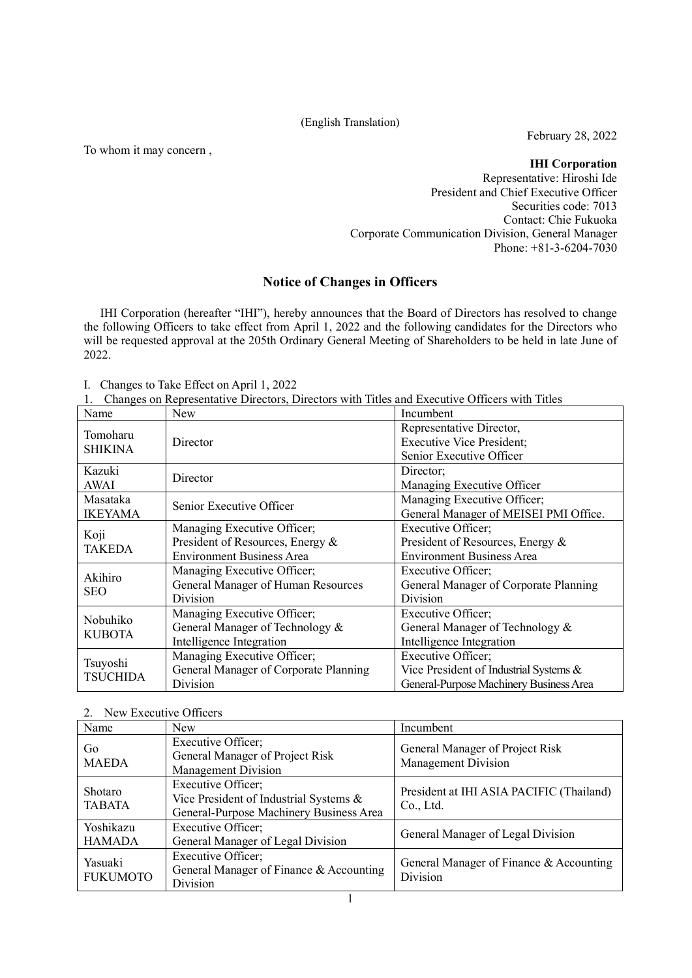## (English Translation)

To whom it may concern ,

February 28, 2022

**IHI Corporation**

Representative: Hiroshi Ide President and Chief Executive Officer Securities code: 7013 Contact: Chie Fukuoka Corporate Communication Division, General Manager Phone: +81-3-6204-7030

# **Notice of Changes in Officers**

IHI Corporation (hereafter "IHI"), hereby announces that the Board of Directors has resolved to change the following Officers to take effect from April 1, 2022 and the following candidates for the Directors who will be requested approval at the 205th Ordinary General Meeting of Shareholders to be held in late June of 2022.

I. Changes to Take Effect on April 1, 2022

|  |  |  |  | 1. Changes on Representative Directors, Directors with Titles and Executive Officers with Titles |
|--|--|--|--|--------------------------------------------------------------------------------------------------|
|--|--|--|--|--------------------------------------------------------------------------------------------------|

| Name           | <b>New</b>                            | Incumbent                               |
|----------------|---------------------------------------|-----------------------------------------|
|                |                                       | Representative Director,                |
| Tomoharu       | Director                              | <b>Executive Vice President;</b>        |
| <b>SHIKINA</b> |                                       | Senior Executive Officer                |
| Kazuki         | Director                              | Director;                               |
| AWAI           |                                       | Managing Executive Officer              |
| Masataka       | Senior Executive Officer              | Managing Executive Officer;             |
| <b>IKEYAMA</b> |                                       | General Manager of MEISEI PMI Office.   |
| Koji           | Managing Executive Officer;           | Executive Officer;                      |
| <b>TAKEDA</b>  | President of Resources, Energy &      | President of Resources, Energy &        |
|                | <b>Environment Business Area</b>      | <b>Environment Business Area</b>        |
| Akihiro        | Managing Executive Officer;           | Executive Officer;                      |
| <b>SEO</b>     | General Manager of Human Resources    | General Manager of Corporate Planning   |
|                | Division                              | <b>Division</b>                         |
| Nobuhiko       | Managing Executive Officer;           | Executive Officer;                      |
| <b>KUBOTA</b>  | General Manager of Technology &       | General Manager of Technology &         |
|                | Intelligence Integration              | Intelligence Integration                |
|                | Managing Executive Officer;           | Executive Officer;                      |
| Tsuyoshi       | General Manager of Corporate Planning | Vice President of Industrial Systems &  |
| TSUCHIDA       | Division                              | General-Purpose Machinery Business Area |

## 2. New Executive Officers

| Name                       | New                                                                                                     | Incumbent                                                     |
|----------------------------|---------------------------------------------------------------------------------------------------------|---------------------------------------------------------------|
| Go<br><b>MAEDA</b>         | Executive Officer;<br>General Manager of Project Risk<br>Management Division                            | General Manager of Project Risk<br><b>Management Division</b> |
| Shotaro<br><b>TABATA</b>   | Executive Officer;<br>Vice President of Industrial Systems &<br>General-Purpose Machinery Business Area | President at IHI ASIA PACIFIC (Thailand)<br>Co., Ltd.         |
| Yoshikazu<br><b>HAMADA</b> | Executive Officer;<br>General Manager of Legal Division                                                 | General Manager of Legal Division                             |
| Yasuaki<br><b>FUKUMOTO</b> | Executive Officer;<br>General Manager of Finance & Accounting<br>Division                               | General Manager of Finance & Accounting<br>Division           |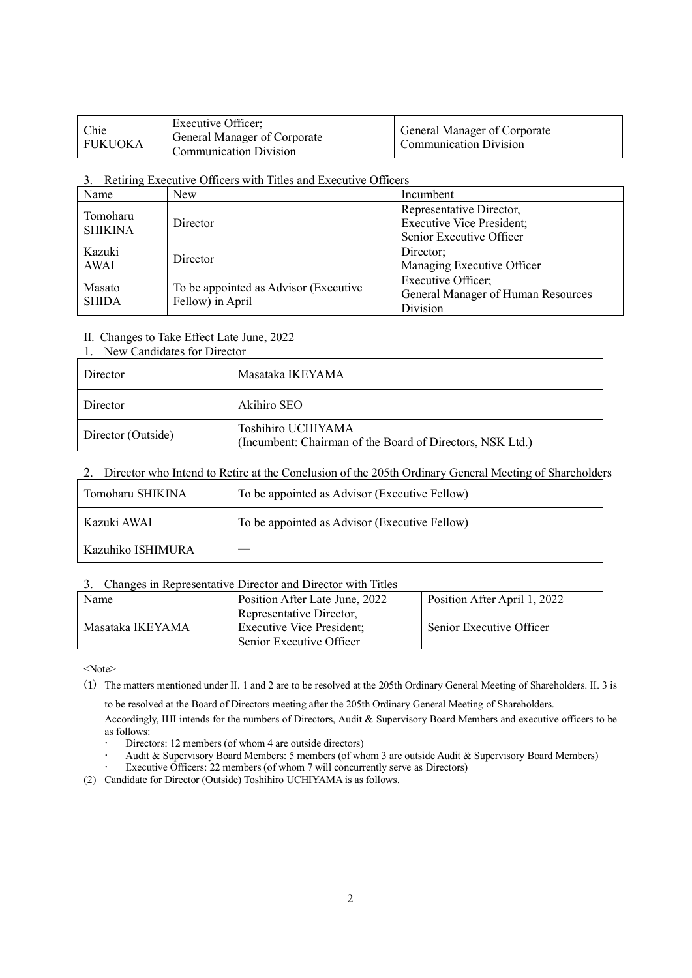| Chie<br>FUKUOKA | Executive Officer:<br>General Manager of Corporate<br><b>Communication Division</b> | <b>General Manager of Corporate</b><br><b>Communication Division</b> |
|-----------------|-------------------------------------------------------------------------------------|----------------------------------------------------------------------|
|-----------------|-------------------------------------------------------------------------------------|----------------------------------------------------------------------|

#### 3. Retiring Executive Officers with Titles and Executive Officers

| Name           | <b>New</b>                            | Incumbent                          |
|----------------|---------------------------------------|------------------------------------|
| Tomoharu       |                                       | Representative Director,           |
| <b>SHIKINA</b> | Director                              | <b>Executive Vice President;</b>   |
|                |                                       | Senior Executive Officer           |
| Kazuki         | Director                              | Director;                          |
| AWAI           |                                       | Managing Executive Officer         |
|                |                                       | Executive Officer;                 |
| Masato         | To be appointed as Advisor (Executive | General Manager of Human Resources |
| <b>SHIDA</b>   | Fellow) in April                      | Division                           |

## II. Changes to Take Effect Late June, 2022

|  |  |  |  | 1. New Candidates for Director |
|--|--|--|--|--------------------------------|
|--|--|--|--|--------------------------------|

| Director           | Masataka IKEYAMA                                                                |
|--------------------|---------------------------------------------------------------------------------|
| Director           | Akihiro SEO                                                                     |
| Director (Outside) | Toshihiro UCHIYAMA<br>(Incumbent: Chairman of the Board of Directors, NSK Ltd.) |

# 2. Director who Intend to Retire at the Conclusion of the 205th Ordinary General Meeting of Shareholders

| Tomoharu SHIKINA  | To be appointed as Advisor (Executive Fellow) |  |
|-------------------|-----------------------------------------------|--|
| Kazuki AWAI       | To be appointed as Advisor (Executive Fellow) |  |
| Kazuhiko ISHIMURA |                                               |  |

#### 3. Changes in Representative Director and Director with Titles

| Name             | Position After Late June, 2022                                                           | Position After April 1, 2022 |
|------------------|------------------------------------------------------------------------------------------|------------------------------|
| Masataka IKEYAMA | Representative Director,<br><b>Executive Vice President;</b><br>Senior Executive Officer | Senior Executive Officer     |

<Note>

(1) The matters mentioned under II. 1 and 2 are to be resolved at the 205th Ordinary General Meeting of Shareholders. II. 3 is

to be resolved at the Board of Directors meeting after the 205th Ordinary General Meeting of Shareholders.

Accordingly, IHI intends for the numbers of Directors, Audit & Supervisory Board Members and executive officers to be as follows:

- Directors: 12 members (of whom 4 are outside directors)
- Audit & Supervisory Board Members: 5 members (of whom 3 are outside Audit & Supervisory Board Members)
- Executive Officers: 22 members (of whom 7 will concurrently serve as Directors)
- (2) Candidate for Director (Outside) Toshihiro UCHIYAMA is as follows.